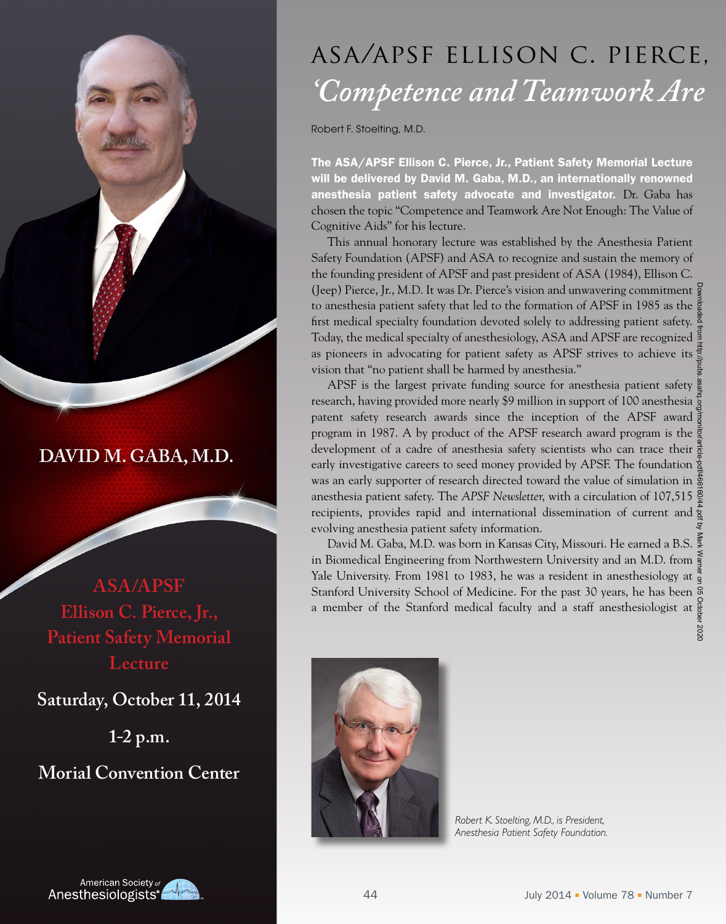

## DAVID M. GABA, M.D.

**ASA/APSF Ellison C. Pierce, Jr., Patient Safety Memorial Lecture**

**Saturday, October 11, 2014**

**1-2 p.m.**

**Morial Convention Center**

## ASA/APSF ELLISON C. PIERCE, *'Competence and Teamwork Are*

Robert F. Stoelting, M.D.

The ASA/APSF Ellison C. Pierce, Jr., Patient Safety Memorial Lecture will be delivered by David M. Gaba, M.D., an internationally renowned anesthesia patient safety advocate and investigator. Dr. Gaba has chosen the topic "Competence and Teamwork Are Not Enough: The Value of Cognitive Aids" for his lecture.

This annual honorary lecture was established by the Anesthesia Patient Safety Foundation (APSF) and ASA to recognize and sustain the memory of the founding president of APSF and past president of ASA (1984), Ellison C. (Jeep) Pierce, Jr., M.D. It was Dr. Pierce's vision and unwavering commitment  $\frac{5}{9}$ to anesthesia patient safety that led to the formation of APSF in 1985 as the first medical specialty foundation devoted solely to addressing patient safety. Today, the medical specialty of anesthesiology, ASA and APSF are recognized as pioneers in advocating for patient safety as APSF strives to achieve its vision that "no patient shall be harmed by anesthesia."

APSF is the largest private funding source for anesthesia patient safety research, having provided more nearly \$9 million in support of 100 anesthesia patent safety research awards since the inception of the APSF award program in 1987. A by product of the APSF research award program is the development of a cadre of anesthesia safety scientists who can trace their early investigative careers to seed money provided by APSF. The foundation was an early supporter of research directed toward the value of simulation in anesthesia patient safety. The *APSF Newsletter*, with a circulation of 107,515 recipients, provides rapid and international dissemination of current and  $\frac{1}{2}$ evolving anesthesia patient safety information. Downloaded from http://pubs.asahq.org/monitor/article-pdf/466160/44.pdf by Mark Warner on 05 October 2020

David M. Gaba, M.D. was born in Kansas City, Missouri. He earned a B.S. in Biomedical Engineering from Northwestern University and an M.D. from Yale University. From 1981 to 1983, he was a resident in anesthesiology at  $\ddot{\tilde{z}}$ Stanford University School of Medicine. For the past 30 years, he has been a member of the Stanford medical faculty and a staff anesthesiologist at  $\frac{8}{9}$ 



*Robert K. Stoelting, M.D., is President, Anesthesia Patient Safety Foundation.*



2020